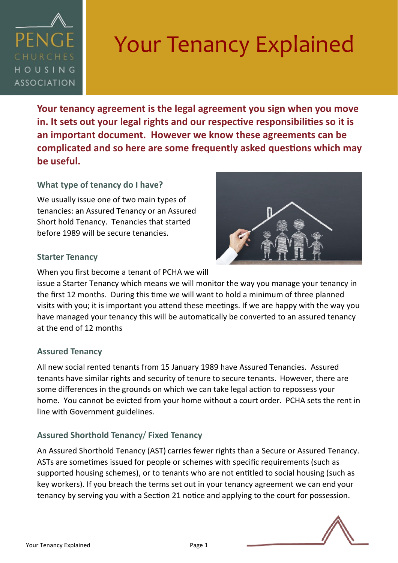

# Your Tenancy Explained

**Your tenancy agreement is the legal agreement you sign when you move in. It sets out your legal rights and our respective responsibilities so it is an important document. However we know these agreements can be complicated and so here are some frequently asked questions which may be useful.**

## **What type of tenancy do I have?**

We usually issue one of two main types of tenancies: an Assured Tenancy or an Assured Short hold Tenancy. Tenancies that started before 1989 will be secure tenancies.

#### **Starter Tenancy**

When you first become a tenant of PCHA we will

issue a Starter Tenancy which means we will monitor the way you manage your tenancy in the first 12 months. During this time we will want to hold a minimum of three planned visits with you; it is important you attend these meetings. If we are happy with the way you have managed your tenancy this will be automatically be converted to an assured tenancy at the end of 12 months

#### **Assured Tenancy**

All new social rented tenants from 15 January 1989 have Assured Tenancies. Assured tenants have similar rights and security of tenure to secure tenants. However, there are some differences in the grounds on which we can take legal action to repossess your home. You cannot be evicted from your home without a court order. PCHA sets the rent in line with Government guidelines.

## **Assured Shorthold Tenancy**/ **Fixed Tenancy**

An Assured Shorthold Tenancy (AST) carries fewer rights than a Secure or Assured Tenancy. ASTs are sometimes issued for people or schemes with specific requirements (such as supported housing schemes), or to tenants who are not entitled to social housing (such as key workers). If you breach the terms set out in your tenancy agreement we can end your tenancy by serving you with a Section 21 notice and applying to the court for possession.

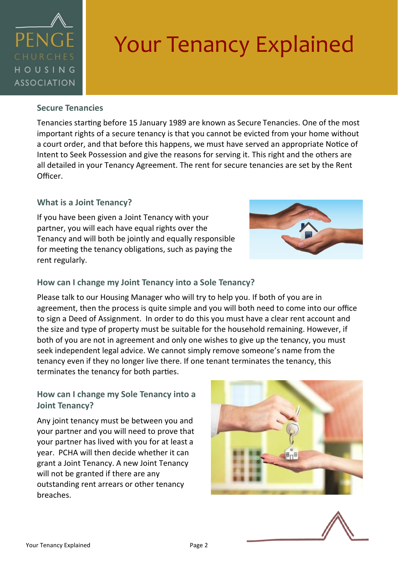

## Your Tenancy Explained

#### **Secure Tenancies**

Tenancies starting before 15 January 1989 are known as Secure Tenancies. One of the most important rights of a secure tenancy is that you cannot be evicted from your home without a court order, and that before this happens, we must have served an appropriate Notice of Intent to Seek Possession and give the reasons for serving it. This right and the others are all detailed in your Tenancy Agreement. The rent for secure tenancies are set by the Rent Officer.

### **What is a Joint Tenancy?**

If you have been given a Joint Tenancy with your partner, you will each have equal rights over the Tenancy and will both be jointly and equally responsible for meeting the tenancy obligations, such as paying the rent regularly.



### **How can I change my Joint Tenancy into a Sole Tenancy?**

Please talk to our Housing Manager who will try to help you. If both of you are in agreement, then the process is quite simple and you will both need to come into our office to sign a Deed of Assignment. In order to do this you must have a clear rent account and the size and type of property must be suitable for the household remaining. However, if both of you are not in agreement and only one wishes to give up the tenancy, you must seek independent legal advice. We cannot simply remove someone's name from the tenancy even if they no longer live there. If one tenant terminates the tenancy, this terminates the tenancy for both parties.

## **How can I change my Sole Tenancy into a Joint Tenancy?**

Any joint tenancy must be between you and your partner and you will need to prove that your partner has lived with you for at least a year. PCHA will then decide whether it can grant a Joint Tenancy. A new Joint Tenancy will not be granted if there are any outstanding rent arrears or other tenancy breaches.